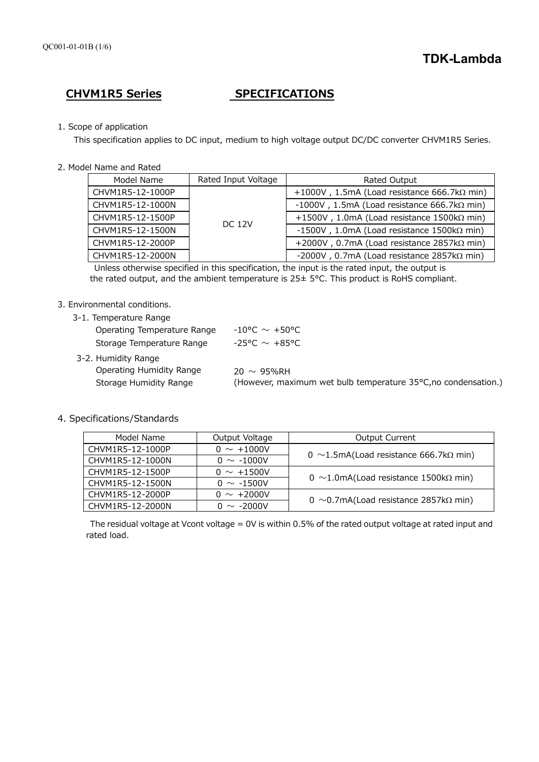# **CHVM1R5 Series SPECIFICATIONS**

# 1. Scope of application

This specification applies to DC input, medium to high voltage output DC/DC converter CHVM1R5 Series.

2. Model Name and Rated

| Model Name       | Rated Input Voltage | Rated Output                                          |
|------------------|---------------------|-------------------------------------------------------|
| CHVM1R5-12-1000P | <b>DC 12V</b>       | +1000V, 1.5mA (Load resistance 666.7k $\Omega$ min)   |
| CHVM1R5-12-1000N |                     | -1000V, 1.5mA (Load resistance $666.7k\Omega$ min)    |
| CHVM1R5-12-1500P |                     | +1500V, 1.0mA (Load resistance $1500k\Omega$ min)     |
| CHVM1R5-12-1500N |                     | $-1500V$ , 1.0mA (Load resistance 1500k $\Omega$ min) |
| CHVM1R5-12-2000P |                     | +2000V, 0.7mA (Load resistance $2857k\Omega$ min)     |
| CHVM1R5-12-2000N |                     | -2000V, 0.7mA (Load resistance $2857k\Omega$ min)     |

Unless otherwise specified in this specification, the input is the rated input, the output is the rated output, and the ambient temperature is 25± 5°C. This product is RoHS compliant.

# 3. Environmental conditions.

| 3-1. Temperature Range                                                    |                                                                                    |
|---------------------------------------------------------------------------|------------------------------------------------------------------------------------|
| Operating Temperature Range                                               | $-10^{\circ}$ C $\sim$ +50°C                                                       |
| Storage Temperature Range                                                 | -25°C $\sim$ +85°C                                                                 |
| 3-2. Humidity Range<br>Operating Humidity Range<br>Storage Humidity Range | $20 \sim 95%$ RH<br>(However, maximum wet bulb temperature 35°C, no condensation.) |

4. Specifications/Standards

| Model Name       | Output Voltage  | <b>Output Current</b>                         |  |
|------------------|-----------------|-----------------------------------------------|--|
| CHVM1R5-12-1000P | $0 \sim +1000V$ | 0 ~1.5mA(Load resistance 666.7k $\Omega$ min) |  |
| CHVM1R5-12-1000N | $0 \sim -1000V$ |                                               |  |
| CHVM1R5-12-1500P | $0 \sim +1500V$ |                                               |  |
| CHVM1R5-12-1500N | $0 \sim -1500V$ | 0 ~1.0mA(Load resistance 1500k $\Omega$ min)  |  |
| CHVM1R5-12-2000P | $0 \sim +2000V$ | 0 ~0.7mA(Load resistance 2857k $\Omega$ min)  |  |
| CHVM1R5-12-2000N | $0 \sim -2000V$ |                                               |  |

The residual voltage at Vcont voltage = 0V is within 0.5% of the rated output voltage at rated input and rated load.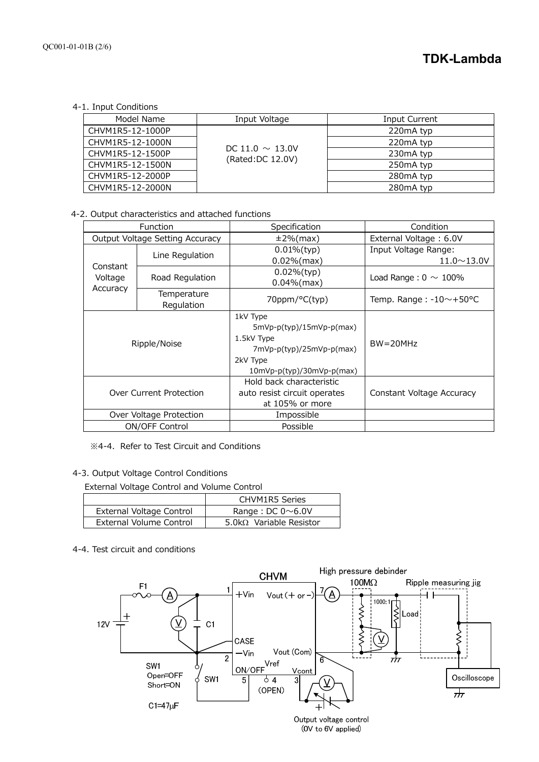4-1. Input Conditions

| Model Name       | Input Voltage                            | Input Current |
|------------------|------------------------------------------|---------------|
| CHVM1R5-12-1000P |                                          | 220mA typ     |
| CHVM1R5-12-1000N |                                          | 220mA typ     |
| CHVM1R5-12-1500P | DC 11.0 $\sim$ 13.0V<br>(Rated:DC 12.0V) | 230mA typ     |
| CHVM1R5-12-1500N |                                          | 250mA typ     |
| CHVM1R5-12-2000P |                                          | 280mA typ     |
| CHVM1R5-12-2000N |                                          | 280mA typ     |

4-2. Output characteristics and attached functions

| Function                        |                           | Specification                                                                                                               | Condition                        |
|---------------------------------|---------------------------|-----------------------------------------------------------------------------------------------------------------------------|----------------------------------|
| Output Voltage Setting Accuracy |                           | $±2\%$ (max)                                                                                                                | External Voltage: 6.0V           |
|                                 | Line Regulation           | $0.01\%$ (typ)                                                                                                              | Input Voltage Range:             |
| Constant                        |                           | $0.02\%$ (max)                                                                                                              | $11.0 \sim 13.0 V$               |
| Voltage                         | Road Regulation           | $0.02%$ (typ)                                                                                                               | Load Range: $0 \sim 100\%$       |
| Accuracy                        |                           | $0.04\%$ (max)                                                                                                              |                                  |
|                                 | Temperature<br>Regulation | 70ppm/°C(typ)                                                                                                               | Temp. Range: $-10$ $\sim$ +50 °C |
| Ripple/Noise                    |                           | 1kV Type<br>$5mVp-p(typ)/15mVp-p(max)$<br>1.5kV Type<br>7mVp-p(typ)/25mVp-p(max)<br>2kV Type<br>$10mVp-p(typ)/30mVp-p(max)$ | $BW = 20MHz$                     |
| Over Current Protection         |                           | Hold back characteristic<br>auto resist circuit operates<br>at 105% or more                                                 | Constant Voltage Accuracy        |
| Over Voltage Protection         |                           | Impossible                                                                                                                  |                                  |
| <b>ON/OFF Control</b>           |                           | Possible                                                                                                                    |                                  |

※4-4. Refer to Test Circuit and Conditions

# 4-3. Output Voltage Control Conditions

External Voltage Control and Volume Control

|                          | <b>CHVM1R5 Series</b>           |
|--------------------------|---------------------------------|
| External Voltage Control | Range : DC $0 \sim 6.0V$        |
| External Volume Control  | 5.0k $\Omega$ Variable Resistor |

4-4. Test circuit and conditions

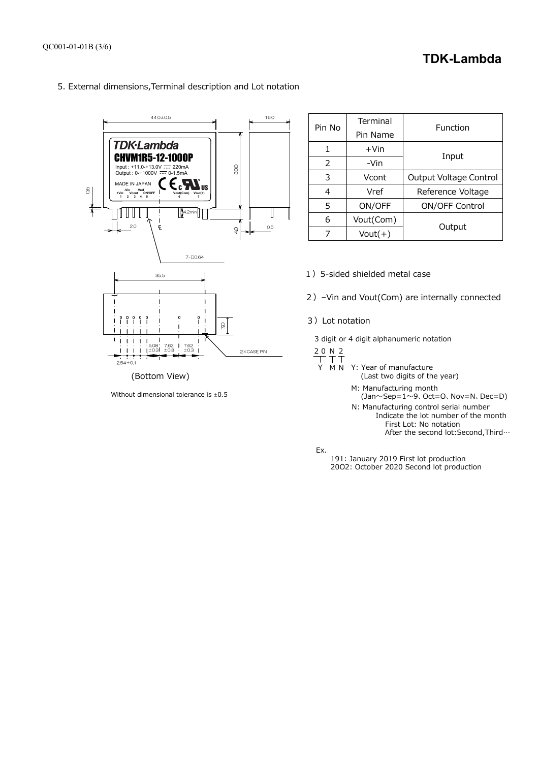# **TDK-Lambda**

5. External dimensions,Terminal description and Lot notation



Without dimensional tolerance is  $\pm 0.5$ 

| Pin No | Terminal<br>Pin Name | Function               |  |
|--------|----------------------|------------------------|--|
| 1      | $+V$ in              |                        |  |
| 2      | -Vin                 | Input                  |  |
| 3      | Vcont                | Output Voltage Control |  |
| 4      | Vref                 | Reference Voltage      |  |
| 5      | ON/OFF               | <b>ON/OFF Control</b>  |  |
| 6      | Vout(Com)            |                        |  |
|        | $Vout(+)$            | Output                 |  |

1) 5-sided shielded metal case

2)–Vin and Vout(Com) are internally connected

3)Lot notation

3 digit or 4 digit alphanumeric notation

$$
\frac{20 N}{T}
$$

Y M N Y: Year of manufacture (Last two digits of the year)

M: Manufacturing month

- (Jan $\sim$ Sep=1 $\sim$ 9、Oct=O、Nov=N、Dec=D)
- N: Manufacturing control serial number Indicate the lot number of the month First Lot: No notation After the second lot:Second,Third…

Ex.

 191: January 2019 First lot production 20O2: October 2020 Second lot production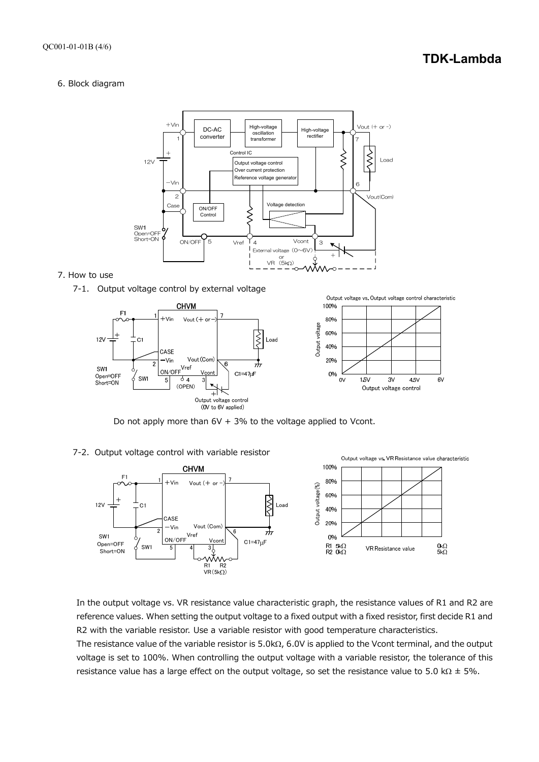# **TDK-Lambda**

#### 6. Block diagram



# 7. How to use







Do not apply more than  $6V + 3%$  to the voltage applied to Vcont.





In the output voltage vs. VR resistance value characteristic graph, the resistance values of R1 and R2 are reference values. When setting the output voltage to a fixed output with a fixed resistor, first decide R1 and R2 with the variable resistor. Use a variable resistor with good temperature characteristics.

The resistance value of the variable resistor is  $5.0k\Omega$ , 6.0V is applied to the Vcont terminal, and the output voltage is set to 100%. When controlling the output voltage with a variable resistor, the tolerance of this resistance value has a large effect on the output voltage, so set the resistance value to 5.0 k $\Omega$   $\pm$  5%.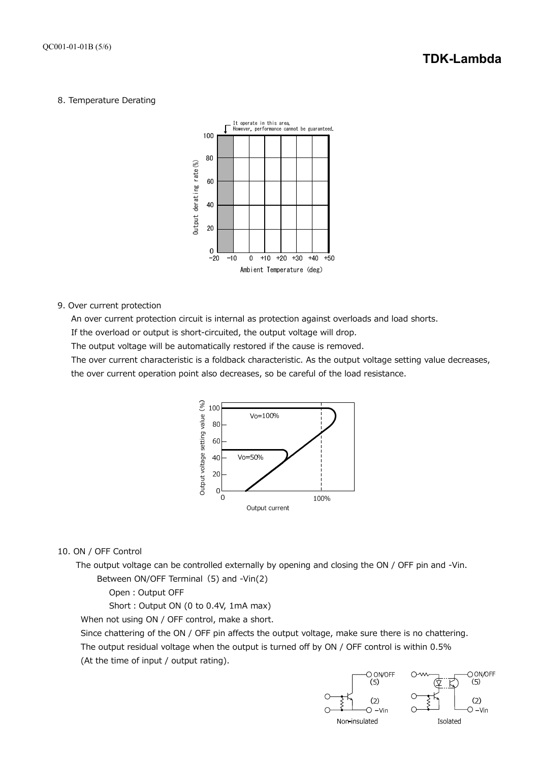# 8. Temperature Derating



9. Over current protection

An over current protection circuit is internal as protection against overloads and load shorts.

If the overload or output is short-circuited, the output voltage will drop.

The output voltage will be automatically restored if the cause is removed.

The over current characteristic is a foldback characteristic. As the output voltage setting value decreases, the over current operation point also decreases, so be careful of the load resistance.



#### 10. ON / OFF Control

The output voltage can be controlled externally by opening and closing the ON / OFF pin and -Vin. Between ON/OFF Terminal (5) and -Vin(2)

Open: Output OFF

Short: Output ON (0 to 0.4V, 1mA max)

When not using ON / OFF control, make a short.

Since chattering of the ON / OFF pin affects the output voltage, make sure there is no chattering. The output residual voltage when the output is turned off by ON / OFF control is within 0.5% (At the time of input / output rating).